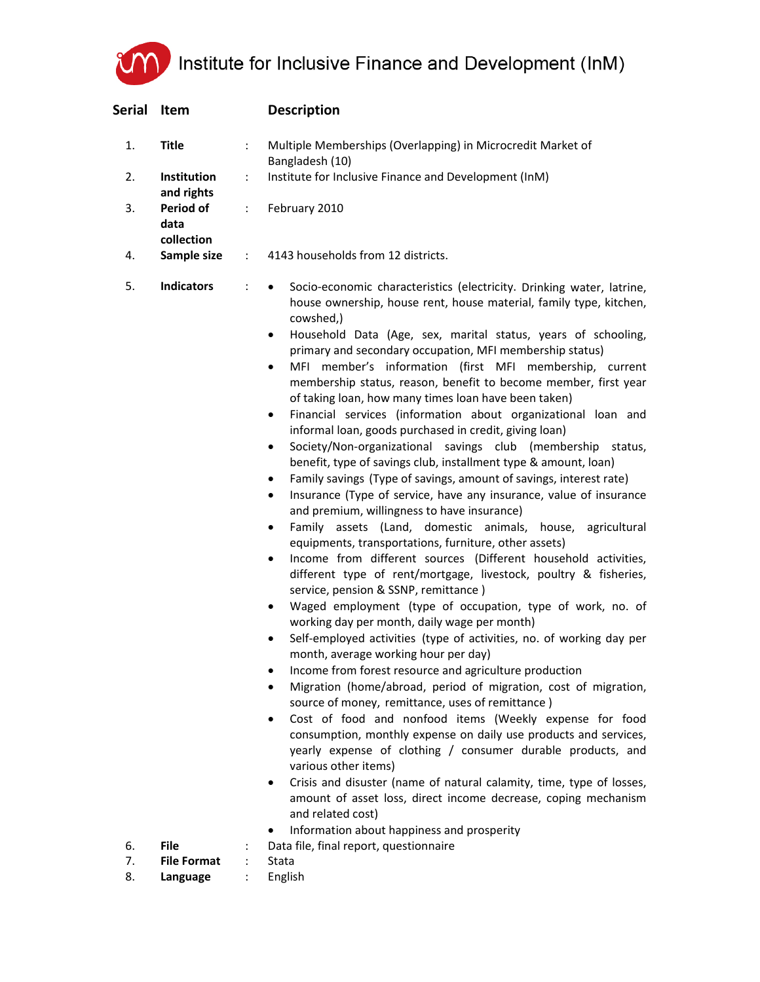Institute for Inclusive Finance and Development (InM)

| Serial   | Item                            |    | <b>Description</b>                                                                                                                                                                                                                                                                                                                                                                                                                                                                                                                                                                                                                                                                                                                                                                                                                                                                                                                                                                                                                                                                                                                                                                                                                                                                                                                                                                                                                                                                                                                                                                                                                                                                                                                                                                                                                                                                                                                                                                                                                                                                                                                                                                                       |
|----------|---------------------------------|----|----------------------------------------------------------------------------------------------------------------------------------------------------------------------------------------------------------------------------------------------------------------------------------------------------------------------------------------------------------------------------------------------------------------------------------------------------------------------------------------------------------------------------------------------------------------------------------------------------------------------------------------------------------------------------------------------------------------------------------------------------------------------------------------------------------------------------------------------------------------------------------------------------------------------------------------------------------------------------------------------------------------------------------------------------------------------------------------------------------------------------------------------------------------------------------------------------------------------------------------------------------------------------------------------------------------------------------------------------------------------------------------------------------------------------------------------------------------------------------------------------------------------------------------------------------------------------------------------------------------------------------------------------------------------------------------------------------------------------------------------------------------------------------------------------------------------------------------------------------------------------------------------------------------------------------------------------------------------------------------------------------------------------------------------------------------------------------------------------------------------------------------------------------------------------------------------------------|
| 1.       | <b>Title</b>                    | t. | Multiple Memberships (Overlapping) in Microcredit Market of<br>Bangladesh (10)                                                                                                                                                                                                                                                                                                                                                                                                                                                                                                                                                                                                                                                                                                                                                                                                                                                                                                                                                                                                                                                                                                                                                                                                                                                                                                                                                                                                                                                                                                                                                                                                                                                                                                                                                                                                                                                                                                                                                                                                                                                                                                                           |
| 2.       | Institution<br>and rights       | t. | Institute for Inclusive Finance and Development (InM)                                                                                                                                                                                                                                                                                                                                                                                                                                                                                                                                                                                                                                                                                                                                                                                                                                                                                                                                                                                                                                                                                                                                                                                                                                                                                                                                                                                                                                                                                                                                                                                                                                                                                                                                                                                                                                                                                                                                                                                                                                                                                                                                                    |
| 3.       | Period of<br>data<br>collection | ÷  | February 2010                                                                                                                                                                                                                                                                                                                                                                                                                                                                                                                                                                                                                                                                                                                                                                                                                                                                                                                                                                                                                                                                                                                                                                                                                                                                                                                                                                                                                                                                                                                                                                                                                                                                                                                                                                                                                                                                                                                                                                                                                                                                                                                                                                                            |
| 4.       | Sample size                     | ÷. | 4143 households from 12 districts.                                                                                                                                                                                                                                                                                                                                                                                                                                                                                                                                                                                                                                                                                                                                                                                                                                                                                                                                                                                                                                                                                                                                                                                                                                                                                                                                                                                                                                                                                                                                                                                                                                                                                                                                                                                                                                                                                                                                                                                                                                                                                                                                                                       |
| 5.       | <b>Indicators</b>               |    | Socio-economic characteristics (electricity. Drinking water, latrine,<br>$\bullet$<br>house ownership, house rent, house material, family type, kitchen,<br>cowshed,)<br>Household Data (Age, sex, marital status, years of schooling,<br>$\bullet$<br>primary and secondary occupation, MFI membership status)<br>MFI member's information (first MFI membership, current<br>٠<br>membership status, reason, benefit to become member, first year<br>of taking loan, how many times loan have been taken)<br>Financial services (information about organizational loan and<br>$\bullet$<br>informal loan, goods purchased in credit, giving loan)<br>Society/Non-organizational savings club (membership status,<br>٠<br>benefit, type of savings club, installment type & amount, loan)<br>Family savings (Type of savings, amount of savings, interest rate)<br>٠<br>Insurance (Type of service, have any insurance, value of insurance<br>٠<br>and premium, willingness to have insurance)<br>Family assets (Land, domestic animals, house, agricultural<br>٠<br>equipments, transportations, furniture, other assets)<br>Income from different sources (Different household activities,<br>$\bullet$<br>different type of rent/mortgage, livestock, poultry & fisheries,<br>service, pension & SSNP, remittance)<br>Waged employment (type of occupation, type of work, no. of<br>٠<br>working day per month, daily wage per month)<br>Self-employed activities (type of activities, no. of working day per<br>٠<br>month, average working hour per day)<br>Income from forest resource and agriculture production<br>Migration (home/abroad, period of migration, cost of migration,<br>٠<br>source of money, remittance, uses of remittance)<br>Cost of food and nonfood items (Weekly expense for food<br>$\bullet$<br>consumption, monthly expense on daily use products and services,<br>yearly expense of clothing / consumer durable products, and<br>various other items)<br>Crisis and disuster (name of natural calamity, time, type of losses,<br>٠<br>amount of asset loss, direct income decrease, coping mechanism<br>and related cost)<br>Information about happiness and prosperity |
| 6.       | <b>File</b>                     |    | Data file, final report, questionnaire                                                                                                                                                                                                                                                                                                                                                                                                                                                                                                                                                                                                                                                                                                                                                                                                                                                                                                                                                                                                                                                                                                                                                                                                                                                                                                                                                                                                                                                                                                                                                                                                                                                                                                                                                                                                                                                                                                                                                                                                                                                                                                                                                                   |
| 7.<br>8. | <b>File Format</b>              |    | Stata<br>English                                                                                                                                                                                                                                                                                                                                                                                                                                                                                                                                                                                                                                                                                                                                                                                                                                                                                                                                                                                                                                                                                                                                                                                                                                                                                                                                                                                                                                                                                                                                                                                                                                                                                                                                                                                                                                                                                                                                                                                                                                                                                                                                                                                         |
|          | Language                        |    |                                                                                                                                                                                                                                                                                                                                                                                                                                                                                                                                                                                                                                                                                                                                                                                                                                                                                                                                                                                                                                                                                                                                                                                                                                                                                                                                                                                                                                                                                                                                                                                                                                                                                                                                                                                                                                                                                                                                                                                                                                                                                                                                                                                                          |